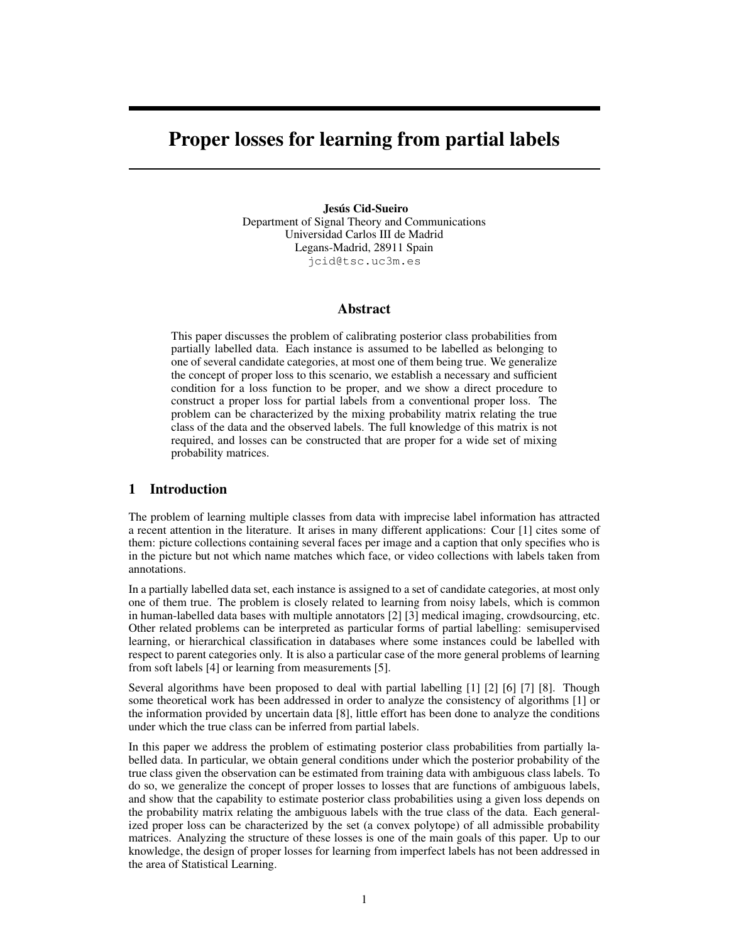# Proper losses for learning from partial labels

Jesús Cid-Sueiro Department of Signal Theory and Communications Universidad Carlos III de Madrid Legans-Madrid, 28911 Spain jcid@tsc.uc3m.es

# Abstract

This paper discusses the problem of calibrating posterior class probabilities from partially labelled data. Each instance is assumed to be labelled as belonging to one of several candidate categories, at most one of them being true. We generalize the concept of proper loss to this scenario, we establish a necessary and sufficient condition for a loss function to be proper, and we show a direct procedure to construct a proper loss for partial labels from a conventional proper loss. The problem can be characterized by the mixing probability matrix relating the true class of the data and the observed labels. The full knowledge of this matrix is not required, and losses can be constructed that are proper for a wide set of mixing probability matrices.

# 1 Introduction

The problem of learning multiple classes from data with imprecise label information has attracted a recent attention in the literature. It arises in many different applications: Cour [1] cites some of them: picture collections containing several faces per image and a caption that only specifies who is in the picture but not which name matches which face, or video collections with labels taken from annotations.

In a partially labelled data set, each instance is assigned to a set of candidate categories, at most only one of them true. The problem is closely related to learning from noisy labels, which is common in human-labelled data bases with multiple annotators [2] [3] medical imaging, crowdsourcing, etc. Other related problems can be interpreted as particular forms of partial labelling: semisupervised learning, or hierarchical classification in databases where some instances could be labelled with respect to parent categories only. It is also a particular case of the more general problems of learning from soft labels [4] or learning from measurements [5].

Several algorithms have been proposed to deal with partial labelling [1] [2] [6] [7] [8]. Though some theoretical work has been addressed in order to analyze the consistency of algorithms [1] or the information provided by uncertain data [8], little effort has been done to analyze the conditions under which the true class can be inferred from partial labels.

In this paper we address the problem of estimating posterior class probabilities from partially labelled data. In particular, we obtain general conditions under which the posterior probability of the true class given the observation can be estimated from training data with ambiguous class labels. To do so, we generalize the concept of proper losses to losses that are functions of ambiguous labels, and show that the capability to estimate posterior class probabilities using a given loss depends on the probability matrix relating the ambiguous labels with the true class of the data. Each generalized proper loss can be characterized by the set (a convex polytope) of all admissible probability matrices. Analyzing the structure of these losses is one of the main goals of this paper. Up to our knowledge, the design of proper losses for learning from imperfect labels has not been addressed in the area of Statistical Learning.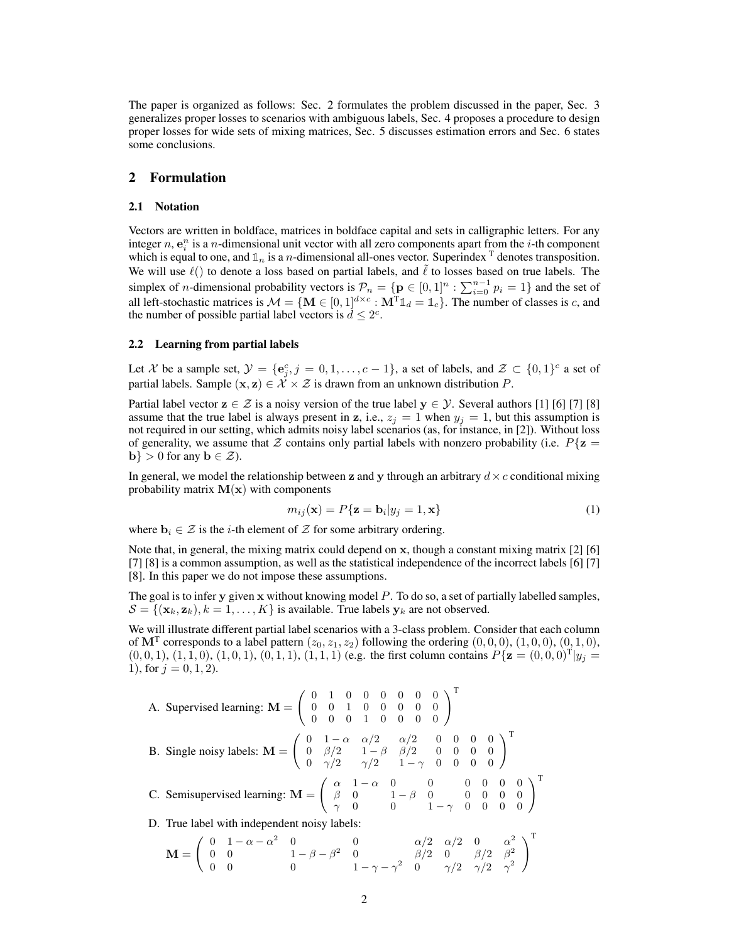The paper is organized as follows: Sec. 2 formulates the problem discussed in the paper, Sec. 3 generalizes proper losses to scenarios with ambiguous labels, Sec. 4 proposes a procedure to design proper losses for wide sets of mixing matrices, Sec. 5 discusses estimation errors and Sec. 6 states some conclusions.

## 2 Formulation

#### 2.1 Notation

Vectors are written in boldface, matrices in boldface capital and sets in calligraphic letters. For any integer n,  $e_i^n$  is a n-dimensional unit vector with all zero components apart from the *i*-th component which is equal to one, and  $\mathbb{1}_n$  is a *n*-dimensional all-ones vector. Superindex  $\mathbb{T}$  denotes transposition. We will use  $\ell$ () to denote a loss based on partial labels, and  $\ell$  to losses based on true labels. The simplex of *n*-dimensional probability vectors is  $\mathcal{P}_n = \{ \mathbf{p} \in [0,1]^n : \sum_{i=0}^{n-1} p_i = 1 \}$  and the set of all left-stochastic matrices is  $M = \{ \mathbf{M} \in [0, 1]^{d \times c} : \mathbf{M}^{T} \mathbb{1}_{d} = \mathbb{1}_{c} \}$ . The number of classes is c, and the number of possible partial label vectors is  $d \leq 2^c$ .

#### 2.2 Learning from partial labels

Let X be a sample set,  $\mathcal{Y} = \{e_j^c, j = 0, 1, \ldots, c-1\}$ , a set of labels, and  $\mathcal{Z} \subset \{0, 1\}^c$  a set of partial labels. Sample  $(x, z) \in \mathcal{X} \times \mathcal{Z}$  is drawn from an unknown distribution P.

Partial label vector  $z \in \mathcal{Z}$  is a noisy version of the true label  $y \in \mathcal{Y}$ . Several authors [1] [6] [7] [8] assume that the true label is always present in z, i.e.,  $z_j = 1$  when  $y_j = 1$ , but this assumption is not required in our setting, which admits noisy label scenarios (as, for instance, in [2]). Without loss of generality, we assume that Z contains only partial labels with nonzero probability (i.e.  $P\{z =$  $\mathbf{b}$  > 0 for any  $\mathbf{b} \in \mathcal{Z}$ ).

In general, we model the relationship between z and y through an arbitrary  $d \times c$  conditional mixing probability matrix  $M(x)$  with components

$$
m_{ij}(\mathbf{x}) = P\{\mathbf{z} = \mathbf{b}_i | y_j = 1, \mathbf{x}\}\tag{1}
$$

where  $\mathbf{b}_i \in \mathcal{Z}$  is the *i*-th element of  $\mathcal Z$  for some arbitrary ordering.

Note that, in general, the mixing matrix could depend on x, though a constant mixing matrix [2] [6] [7] [8] is a common assumption, as well as the statistical independence of the incorrect labels [6] [7] [8]. In this paper we do not impose these assumptions.

The goal is to infer y given x without knowing model P. To do so, a set of partially labelled samples,  $S = \{(\mathbf{x}_k, \mathbf{z}_k), k = 1, \dots, K\}$  is available. True labels  $\mathbf{y}_k$  are not observed.

We will illustrate different partial label scenarios with a 3-class problem. Consider that each column of  $\mathbf{M}^{\mathrm{T}}$  corresponds to a label pattern  $(z_0, z_1, z_2)$  following the ordering  $(0, 0, 0)$ ,  $(1, 0, 0)$ ,  $(0, 1, 0)$ ,  $(0, 0, 1), (1, 1, 0), (1, 0, 1), (0, 1, 1), (1, 1, 1)$  (e.g. the first column contains  $P{\mathbf{z}} = (0, 0, 0)^{\text{T}}|y_j =$ 1), for  $j = 0, 1, 2$ .

A. Supervised learning: 
$$
\mathbf{M} = \begin{pmatrix} 0 & 1 & 0 & 0 & 0 & 0 & 0 & 0 \\ 0 & 0 & 1 & 0 & 0 & 0 & 0 & 0 \\ 0 & 0 & 0 & 1 & 0 & 0 & 0 & 0 \end{pmatrix}^T
$$
  
\nB. Single noisy labels:  $\mathbf{M} = \begin{pmatrix} 0 & 1 - \alpha & \alpha/2 & \alpha/2 & 0 & 0 & 0 & 0 \\ 0 & \beta/2 & 1 - \beta & \beta/2 & 0 & 0 & 0 & 0 \\ 0 & \gamma/2 & \gamma/2 & 1 - \gamma & 0 & 0 & 0 & 0 \end{pmatrix}^T$   
\nC. Semisupervised learning:  $\mathbf{M} = \begin{pmatrix} \alpha & 1 - \alpha & 0 & 0 & 0 & 0 & 0 & 0 \\ \beta & 0 & 1 - \beta & 0 & 0 & 0 & 0 & 0 \\ \gamma & 0 & 0 & 1 - \gamma & 0 & 0 & 0 & 0 \end{pmatrix}^T$   
\nD. True label with independent noisy labels:

$$
\mathbf{M} = \left( \begin{array}{cccccc} 0 & 1-\alpha-\alpha^2 & 0 & 0 & \alpha/2 & \alpha/2 & 0 & \alpha^2 \\ 0 & 0 & 1-\beta-\beta^2 & 0 & \beta/2 & 0 & \beta/2 & \beta^2 \\ 0 & 0 & 0 & 1-\gamma-\gamma^2 & 0 & \gamma/2 & \gamma/2 & \gamma^2 \end{array} \right)^{\mathrm{T}}
$$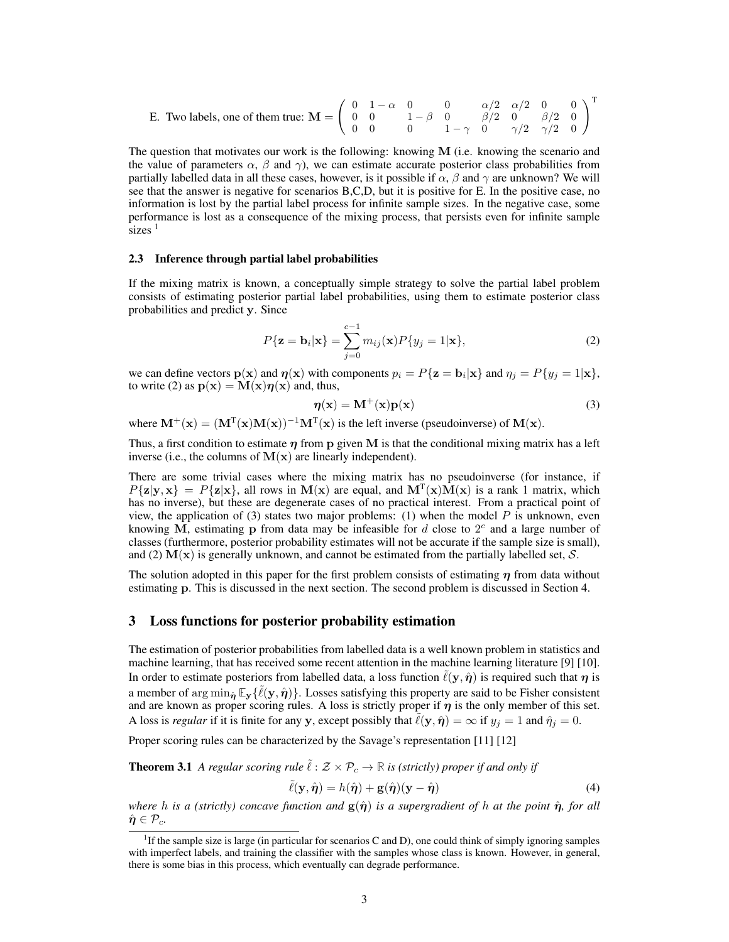E. Two labels, one of them true: 
$$
\mathbf{M} = \begin{pmatrix} 0 & 1-\alpha & 0 & 0 & \alpha/2 & \alpha/2 & 0 & 0 \\ 0 & 0 & 1-\beta & 0 & \beta/2 & 0 & \beta/2 & 0 \\ 0 & 0 & 0 & 1-\gamma & 0 & \gamma/2 & \gamma/2 & 0 \end{pmatrix}^T
$$

The question that motivates our work is the following: knowing M (i.e. knowing the scenario and the value of parameters  $\alpha$ ,  $\beta$  and  $\gamma$ ), we can estimate accurate posterior class probabilities from partially labelled data in all these cases, however, is it possible if  $\alpha$ ,  $\beta$  and  $\gamma$  are unknown? We will see that the answer is negative for scenarios B,C,D, but it is positive for E. In the positive case, no information is lost by the partial label process for infinite sample sizes. In the negative case, some performance is lost as a consequence of the mixing process, that persists even for infinite sample sizes  $<sup>1</sup>$ </sup>

#### 2.3 Inference through partial label probabilities

If the mixing matrix is known, a conceptually simple strategy to solve the partial label problem consists of estimating posterior partial label probabilities, using them to estimate posterior class probabilities and predict y. Since

$$
P\{\mathbf{z} = \mathbf{b}_i|\mathbf{x}\} = \sum_{j=0}^{c-1} m_{ij}(\mathbf{x}) P\{y_j = 1|\mathbf{x}\},\tag{2}
$$

we can define vectors  $p(x)$  and  $\eta(x)$  with components  $p_i = P\{z = b_i | x\}$  and  $\eta_j = P\{y_j = 1 | x\}$ , to write (2) as  $p(x) = M(x)\eta(x)$  and, thus,

$$
\eta(\mathbf{x}) = \mathbf{M}^+(\mathbf{x})\mathbf{p}(\mathbf{x})\tag{3}
$$

where  $M^+(x) = (M^T(x)M(x))^{-1}M^T(x)$  is the left inverse (pseudoinverse) of  $M(x)$ .

Thus, a first condition to estimate  $\eta$  from p given M is that the conditional mixing matrix has a left inverse (i.e., the columns of  $M(x)$  are linearly independent).

There are some trivial cases where the mixing matrix has no pseudoinverse (for instance, if  $P{\{\mathbf{z}|\mathbf{y},\mathbf{x}\}} = P{\{\mathbf{z}|\mathbf{x}\}}$ , all rows in  $\mathbf{M}(\mathbf{x})$  are equal, and  $\mathbf{M}^{\text{T}}(\mathbf{x})\mathbf{M}(\mathbf{x})$  is a rank 1 matrix, which has no inverse), but these are degenerate cases of no practical interest. From a practical point of view, the application of (3) states two major problems: (1) when the model  $P$  is unknown, even knowing M, estimating p from data may be infeasible for  $d$  close to  $2^c$  and a large number of classes (furthermore, posterior probability estimates will not be accurate if the sample size is small), and (2)  $M(x)$  is generally unknown, and cannot be estimated from the partially labelled set, S.

The solution adopted in this paper for the first problem consists of estimating  $\eta$  from data without estimating p. This is discussed in the next section. The second problem is discussed in Section 4.

## 3 Loss functions for posterior probability estimation

The estimation of posterior probabilities from labelled data is a well known problem in statistics and machine learning, that has received some recent attention in the machine learning literature [9] [10]. In order to estimate posteriors from labelled data, a loss function  $\tilde{\ell}(y, \hat{\eta})$  is required such that  $\eta$  is a member of  $\arg \min_{\hat{\boldsymbol{\eta}}} \mathbb{E}_{\mathbf{y}} {\{\tilde{\ell}(\mathbf{y}, \hat{\boldsymbol{\eta}})\}}$ . Losses satisfying this property are said to be Fisher consistent and are known as proper scoring rules. A loss is strictly proper if  $\eta$  is the only member of this set. A loss is *regular* if it is finite for any y, except possibly that  $\tilde{\ell}(y, \hat{\eta}) = \infty$  if  $y_j = 1$  and  $\hat{\eta}_j = 0$ .

Proper scoring rules can be characterized by the Savage's representation [11] [12]

**Theorem 3.1** *A regular scoring rule*  $\tilde{\ell}$  :  $\mathcal{Z} \times \mathcal{P}_c \rightarrow \mathbb{R}$  *is (strictly) proper if and only if* 

$$
\tilde{\ell}(\mathbf{y}, \hat{\boldsymbol{\eta}}) = h(\hat{\boldsymbol{\eta}}) + \mathbf{g}(\hat{\boldsymbol{\eta}})(\mathbf{y} - \hat{\boldsymbol{\eta}})
$$
\n(4)

*where* h is a (strictly) concave function and  $g(\hat{\eta})$  is a supergradient of h at the point  $\hat{\eta}$ , for all  $\hat{\eta} \in \mathcal{P}_c$ .

<sup>&</sup>lt;sup>1</sup>If the sample size is large (in particular for scenarios C and D), one could think of simply ignoring samples with imperfect labels, and training the classifier with the samples whose class is known. However, in general, there is some bias in this process, which eventually can degrade performance.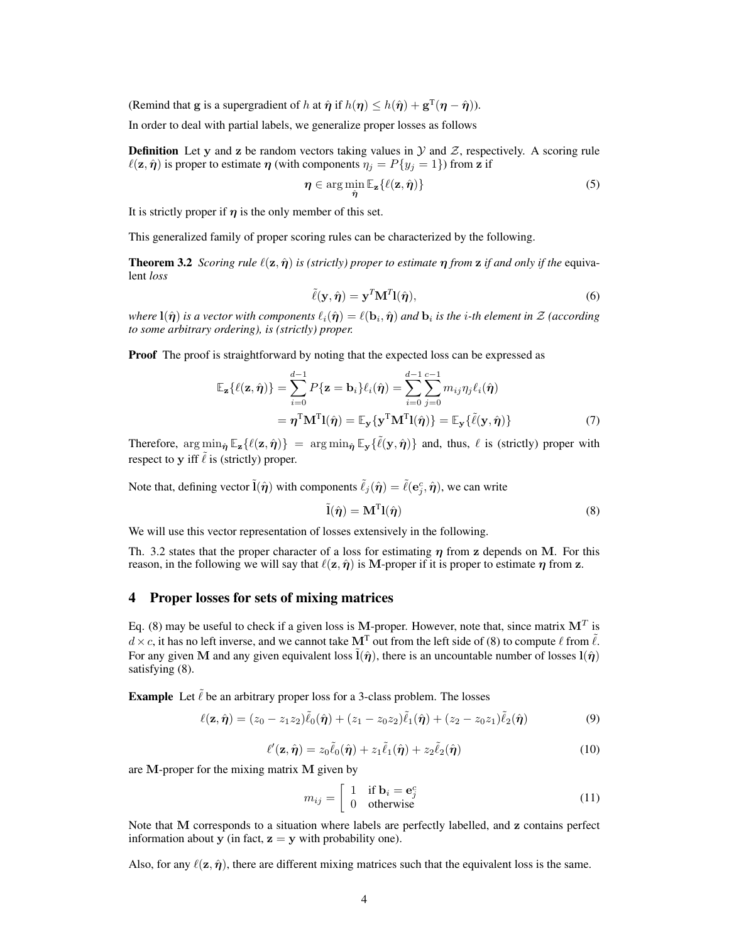(Remind that g is a supergradient of h at  $\hat{\eta}$  if  $h(\eta) \leq h(\hat{\eta}) + \mathbf{g}^{T}(\eta - \hat{\eta})$ ).

In order to deal with partial labels, we generalize proper losses as follows

**Definition** Let y and z be random vectors taking values in  $\mathcal Y$  and  $\mathcal Z$ , respectively. A scoring rule  $\ell(\mathbf{z}, \hat{\boldsymbol{\eta}})$  is proper to estimate  $\boldsymbol{\eta}$  (with components  $\eta_j = P\{y_j = 1\}$ ) from z if

$$
\eta \in \arg\min_{\hat{\eta}} \mathbb{E}_{\mathbf{z}} \{ \ell(\mathbf{z}, \hat{\eta}) \}
$$
 (5)

It is strictly proper if  $\eta$  is the only member of this set.

This generalized family of proper scoring rules can be characterized by the following.

**Theorem 3.2** *Scoring rule*  $\ell(\mathbf{z}, \hat{\boldsymbol{\eta}})$  *is (strictly) proper to estimate*  $\boldsymbol{\eta}$  *from*  $\mathbf{z}$  *if and only if the* equivalent *loss*

$$
\tilde{\ell}(\mathbf{y}, \hat{\boldsymbol{\eta}}) = \mathbf{y}^T \mathbf{M}^T \mathbf{l}(\hat{\boldsymbol{\eta}}),\tag{6}
$$

*where*  $l(\hat{\pmb{\eta}})$  *is a vector with components*  $\ell_i(\hat{\pmb{\eta}}) = \ell({\bf b}_i,\hat{\pmb{\eta}})$  *and*  ${\bf b}_i$  *is the i-th element in Z (according to some arbitrary ordering), is (strictly) proper.*

**Proof** The proof is straightforward by noting that the expected loss can be expressed as

$$
\mathbb{E}_{\mathbf{z}}\{\ell(\mathbf{z},\hat{\boldsymbol{\eta}})\} = \sum_{i=0}^{d-1} P\{\mathbf{z} = \mathbf{b}_i\} \ell_i(\hat{\boldsymbol{\eta}}) = \sum_{i=0}^{d-1} \sum_{j=0}^{c-1} m_{ij} \eta_j \ell_i(\hat{\boldsymbol{\eta}})
$$

$$
= \boldsymbol{\eta}^{\mathrm{T}} \mathbf{M}^{\mathrm{T}} \mathbf{l}(\hat{\boldsymbol{\eta}}) = \mathbb{E}_{\mathbf{y}} \{\mathbf{y}^{\mathrm{T}} \mathbf{M}^{\mathrm{T}} \mathbf{l}(\hat{\boldsymbol{\eta}})\} = \mathbb{E}_{\mathbf{y}} \{\tilde{\ell}(\mathbf{y},\hat{\boldsymbol{\eta}})\}
$$
(7)

Therefore,  $\arg\min_{\hat{\eta}} \mathbb{E}_{\mathbf{z}} {\{\ell(\mathbf{z}, \hat{\eta})\}} = \arg\min_{\hat{\eta}} \mathbb{E}_{\mathbf{y}} {\{\tilde{\ell}(\mathbf{y}, \hat{\eta})\}}$  and, thus,  $\ell$  is (strictly) proper with respect to y iff  $\tilde{\ell}$  is (strictly) proper.

Note that, defining vector  $\tilde{l}(\hat{\eta})$  with components  $\tilde{\ell}_j(\hat{\eta}) = \tilde{\ell}(e_j^c, \hat{\eta})$ , we can write

$$
\tilde{\mathbf{l}}(\hat{\boldsymbol{\eta}}) = \mathbf{M}^{\mathrm{T}} \mathbf{l}(\hat{\boldsymbol{\eta}})
$$
\n(8)

We will use this vector representation of losses extensively in the following.

Th. 3.2 states that the proper character of a loss for estimating  $\eta$  from z depends on M. For this reason, in the following we will say that  $\ell(\mathbf{z}, \hat{\boldsymbol{\eta}})$  is M-proper if it is proper to estimate  $\boldsymbol{\eta}$  from z.

# 4 Proper losses for sets of mixing matrices

Eq. (8) may be useful to check if a given loss is M-proper. However, note that, since matrix  $M<sup>T</sup>$  is  $d \times c$ , it has no left inverse, and we cannot take  $M<sup>T</sup>$  out from the left side of (8) to compute  $\ell$  from  $\tilde{\ell}$ . For any given M and any given equivalent loss  $\hat{l}(\hat{n})$ , there is an uncountable number of losses  $l(\hat{n})$ satisfying (8).

**Example** Let  $\tilde{\ell}$  be an arbitrary proper loss for a 3-class problem. The losses

$$
\ell(\mathbf{z}, \hat{\boldsymbol{\eta}}) = (z_0 - z_1 z_2) \tilde{\ell}_0(\hat{\boldsymbol{\eta}}) + (z_1 - z_0 z_2) \tilde{\ell}_1(\hat{\boldsymbol{\eta}}) + (z_2 - z_0 z_1) \tilde{\ell}_2(\hat{\boldsymbol{\eta}})
$$
(9)

$$
\ell'(\mathbf{z}, \hat{\boldsymbol{\eta}}) = z_0 \tilde{\ell}_0(\hat{\boldsymbol{\eta}}) + z_1 \tilde{\ell}_1(\hat{\boldsymbol{\eta}}) + z_2 \tilde{\ell}_2(\hat{\boldsymbol{\eta}})
$$
(10)

are M-proper for the mixing matrix M given by

$$
m_{ij} = \begin{bmatrix} 1 & \text{if } \mathbf{b}_i = \mathbf{e}_j^c \\ 0 & \text{otherwise} \end{bmatrix} \tag{11}
$$

Note that M corresponds to a situation where labels are perfectly labelled, and z contains perfect information about y (in fact,  $z = y$  with probability one).

Also, for any  $\ell(\mathbf{z}, \hat{\boldsymbol{\eta}})$ , there are different mixing matrices such that the equivalent loss is the same.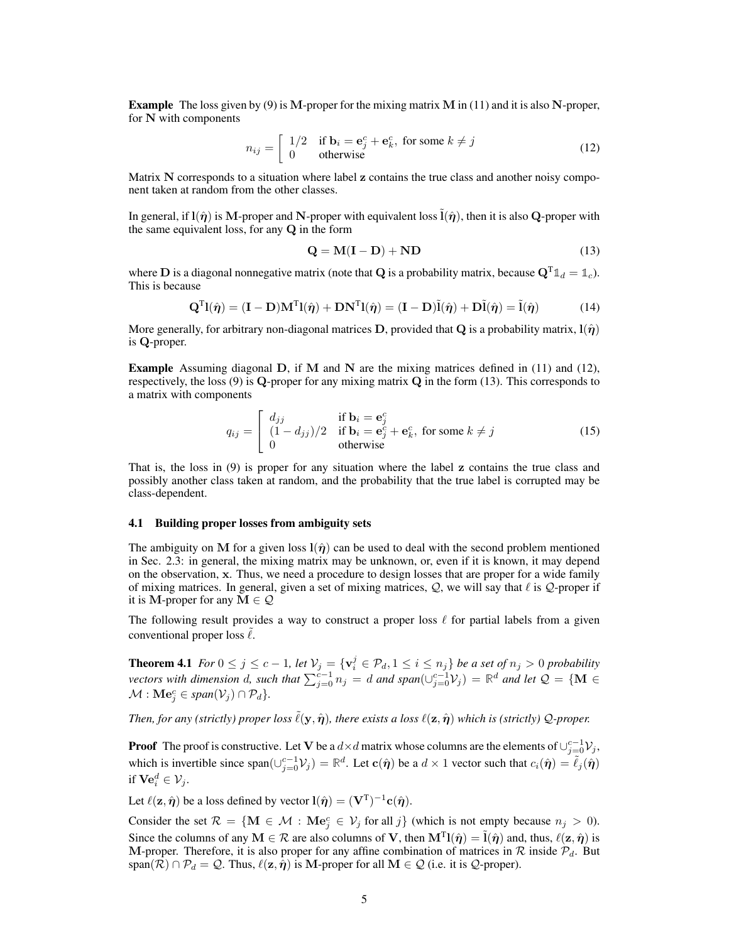**Example** The loss given by (9) is M-proper for the mixing matrix M in (11) and it is also N-proper, for N with components

$$
n_{ij} = \begin{bmatrix} 1/2 & \text{if } \mathbf{b}_i = \mathbf{e}_j^c + \mathbf{e}_k^c, \text{ for some } k \neq j \\ 0 & \text{otherwise} \end{bmatrix}
$$
 (12)

Matrix N corresponds to a situation where label z contains the true class and another noisy component taken at random from the other classes.

In general, if  $l(\hat{\eta})$  is M-proper and N-proper with equivalent loss  $\hat{l}(\hat{\eta})$ , then it is also Q-proper with the same equivalent loss, for any Q in the form

$$
Q = M(I - D) + ND \tag{13}
$$

where **D** is a diagonal nonnegative matrix (note that **Q** is a probability matrix, because  $Q^{T} \mathbb{1}_{d} = \mathbb{1}_{c}$ ). This is because

$$
\mathbf{Q}^{\mathrm{T}}\mathbf{l}(\hat{\boldsymbol{\eta}}) = (\mathbf{I} - \mathbf{D})\mathbf{M}^{\mathrm{T}}\mathbf{l}(\hat{\boldsymbol{\eta}}) + \mathbf{D}\mathbf{N}^{\mathrm{T}}\mathbf{l}(\hat{\boldsymbol{\eta}}) = (\mathbf{I} - \mathbf{D})\tilde{\mathbf{l}}(\hat{\boldsymbol{\eta}}) + \mathbf{D}\tilde{\mathbf{l}}(\hat{\boldsymbol{\eta}}) = \tilde{\mathbf{l}}(\hat{\boldsymbol{\eta}})
$$
(14)

More generally, for arbitrary non-diagonal matrices D, provided that Q is a probability matrix,  $l(\hat{\eta})$ is Q-proper.

**Example** Assuming diagonal  $D$ , if M and N are the mixing matrices defined in (11) and (12), respectively, the loss (9) is Q-proper for any mixing matrix Q in the form (13). This corresponds to a matrix with components

$$
q_{ij} = \begin{bmatrix} d_{jj} & \text{if } \mathbf{b}_i = \mathbf{e}_j^c \\ (1 - d_{jj})/2 & \text{if } \mathbf{b}_i = \mathbf{e}_j^c + \mathbf{e}_k^c, \text{ for some } k \neq j \\ 0 & \text{otherwise} \end{bmatrix} \tag{15}
$$

That is, the loss in (9) is proper for any situation where the label z contains the true class and possibly another class taken at random, and the probability that the true label is corrupted may be class-dependent.

#### 4.1 Building proper losses from ambiguity sets

The ambiguity on M for a given loss  $l(\hat{\eta})$  can be used to deal with the second problem mentioned in Sec. 2.3: in general, the mixing matrix may be unknown, or, even if it is known, it may depend on the observation, x. Thus, we need a procedure to design losses that are proper for a wide family of mixing matrices. In general, given a set of mixing matrices,  $Q$ , we will say that  $\ell$  is  $Q$ -proper if it is M-proper for any  $M \in \mathcal{Q}$ 

The following result provides a way to construct a proper loss  $\ell$  for partial labels from a given conventional proper loss  $\ell$ .

**Theorem 4.1** *For*  $0 \le j \le c - 1$ *, let*  $\mathcal{V}_j = \{ \mathbf{v}_i^j \in \mathcal{P}_d, 1 \le i \le n_j \}$  *be a set of*  $n_j > 0$  *probability vectors with dimension d, such that*  $\sum_{j=0}^{c-1} n_j = d$  *and span*( $\cup_{j=0}^{c-1} V_j$ ) =  $\mathbb{R}^d$  *and let*  $\mathcal{Q} = \{ \mathbf{M} \in \mathcal{Q} \}$  $\mathcal{M}$  :  $\mathbf{Me}_j^c \in span(\mathcal{V}_j) \cap \mathcal{P}_d$ *}*.

*Then, for any (strictly) proper loss*  $\ell(y, \hat{\eta})$ , there exists a loss  $\ell(z, \hat{\eta})$  which is (strictly) Q-proper.

**Proof** The proof is constructive. Let V be a  $d \times d$  matrix whose columns are the elements of  $\cup_{j=0}^{c-1} \mathcal{V}_j$ , which is invertible since  $\text{span}(\cup_{j=0}^{c-1} \mathcal{V}_j) = \mathbb{R}^d$ . Let  $\mathbf{c}(\hat{\boldsymbol{\eta}})$  be a  $d \times 1$  vector such that  $c_i(\hat{\boldsymbol{\eta}}) = \tilde{\ell}_j(\hat{\boldsymbol{\eta}})$ if  $\mathbf{Ve}_i^d \in \mathcal{V}_j$ .

Let  $\ell(\mathbf{z}, \hat{\boldsymbol{\eta}})$  be a loss defined by vector  $\mathbf{l}(\hat{\boldsymbol{\eta}}) = (\mathbf{V}^{\mathrm{T}})^{-1} \mathbf{c}(\hat{\boldsymbol{\eta}}).$ 

Consider the set  $\mathcal{R} = \{ \mathbf{M} \in \mathcal{M} : \mathbf{Me}_j^c \in \mathcal{V}_j \text{ for all } j \}$  (which is not empty because  $n_j > 0$ ). Since the columns of any  $M \in \mathcal{R}$  are also columns of V, then  $M^{T}l(\hat{\eta}) = \tilde{l}(\hat{\eta})$  and, thus,  $\ell(z, \hat{\eta})$  is M-proper. Therefore, it is also proper for any affine combination of matrices in  $\mathcal R$  inside  $\mathcal P_d$ . But span( $\mathcal{R}$ ) ∩  $\mathcal{P}_d = \mathcal{Q}$ . Thus,  $\ell(\mathbf{z}, \hat{\eta})$  is M-proper for all  $\mathbf{M} \in \mathcal{Q}$  (i.e. it is  $\mathcal{Q}$ -proper).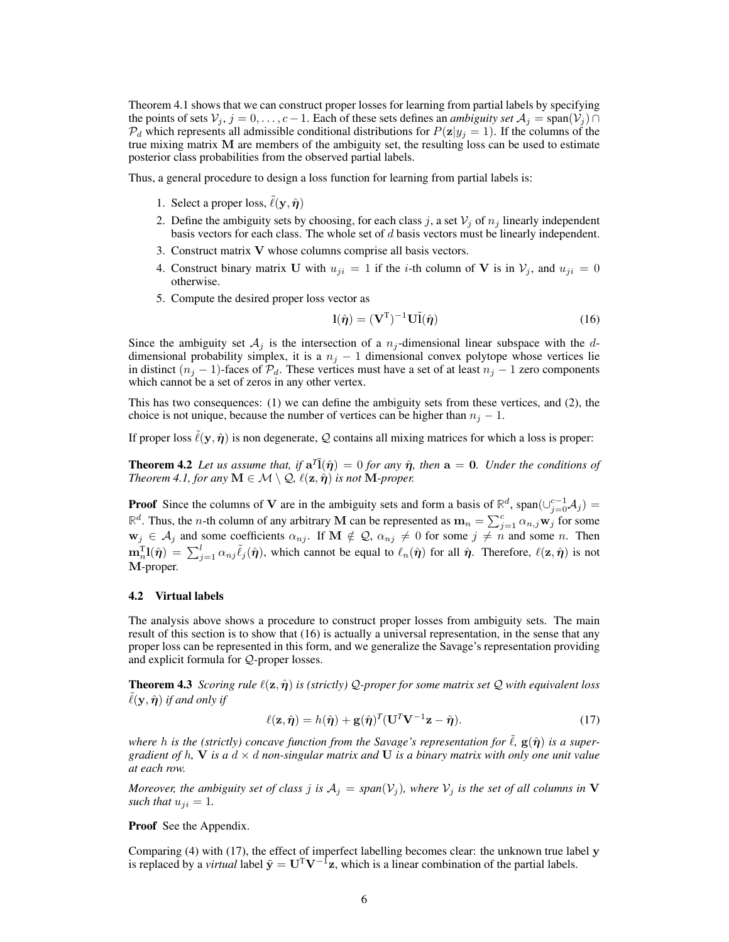Theorem 4.1 shows that we can construct proper losses for learning from partial labels by specifying the points of sets  $V_j$ ,  $j = 0, \ldots, c - 1$ . Each of these sets defines an *ambiguity set*  $A_j = \text{span}(V_j) \cap I$  $P_d$  which represents all admissible conditional distributions for  $P(z|y_j = 1)$ . If the columns of the true mixing matrix M are members of the ambiguity set, the resulting loss can be used to estimate posterior class probabilities from the observed partial labels.

Thus, a general procedure to design a loss function for learning from partial labels is:

- 1. Select a proper loss,  $\ell(\mathbf{y}, \hat{\boldsymbol{\eta}})$
- 2. Define the ambiguity sets by choosing, for each class j, a set  $V_i$  of  $n_i$  linearly independent basis vectors for each class. The whole set of d basis vectors must be linearly independent.
- 3. Construct matrix V whose columns comprise all basis vectors.
- 4. Construct binary matrix U with  $u_{ji} = 1$  if the *i*-th column of V is in  $V_i$ , and  $u_{ji} = 0$ otherwise.
- 5. Compute the desired proper loss vector as

$$
\mathbf{l}(\hat{\boldsymbol{\eta}}) = (\mathbf{V}^{\mathrm{T}})^{-1} \mathbf{U} \tilde{\mathbf{l}}(\hat{\boldsymbol{\eta}})
$$
(16)

Since the ambiguity set  $A_j$  is the intersection of a  $n_j$ -dimensional linear subspace with the ddimensional probability simplex, it is a  $n_j - 1$  dimensional convex polytope whose vertices lie in distinct  $(n_i - 1)$ -faces of  $\mathcal{P}_d$ . These vertices must have a set of at least  $n_i - 1$  zero components which cannot be a set of zeros in any other vertex.

This has two consequences: (1) we can define the ambiguity sets from these vertices, and (2), the choice is not unique, because the number of vertices can be higher than  $n_j - 1$ .

If proper loss  $\tilde{\ell}(y, \hat{\eta})$  is non degenerate, Q contains all mixing matrices for which a loss is proper:

**Theorem 4.2** Let us assume that, if  $a^T\tilde{l}(\hat{\eta}) = 0$  for any  $\hat{\eta}$ , then  $a = 0$ . Under the conditions of *Theorem 4.1, for any*  $M \in \mathcal{M} \setminus \mathcal{Q}, \ell(\mathbf{z}, \hat{\boldsymbol{\eta}})$  *is not*  $M$ -proper.

**Proof** Since the columns of **V** are in the ambiguity sets and form a basis of  $\mathbb{R}^d$ , span $(\cup_{j=0}^{c-1} A_j)$  =  $\mathbb{R}^d$ . Thus, the *n*-th column of any arbitrary M can be represented as  $\mathbf{m}_n = \sum_{j=1}^c \alpha_{n,j} \mathbf{w}_j$  for some  $\mathbf{w}_j \in \mathcal{A}_j$  and some coefficients  $\alpha_{nj}$ . If  $\mathbf{M} \notin \mathcal{Q}$ ,  $\alpha_{nj} \neq 0$  for some  $j \neq n$  and some n. Then  $\mathbf{m}_n^{\mathrm{T}} \mathbf{l}(\hat{\pmb{\eta}}) = \sum_{j=1}^l \alpha_{nj} \tilde{\ell}_j(\hat{\pmb{\eta}})$ , which cannot be equal to  $\ell_n(\hat{\pmb{\eta}})$  for all  $\hat{\pmb{\eta}}$ . Therefore,  $\ell(\mathbf{z}, \hat{\pmb{\eta}})$  is not M-proper.

#### 4.2 Virtual labels

The analysis above shows a procedure to construct proper losses from ambiguity sets. The main result of this section is to show that (16) is actually a universal representation, in the sense that any proper loss can be represented in this form, and we generalize the Savage's representation providing and explicit formula for Q-proper losses.

**Theorem 4.3** *Scoring rule*  $\ell(\mathbf{z}, \hat{\boldsymbol{\eta}})$  *is (strictly)* Q-proper for some matrix set Q with equivalent loss  $\ell(\mathbf{y}, \hat{\boldsymbol{\eta}})$  *if and only if* 

$$
\ell(\mathbf{z}, \hat{\boldsymbol{\eta}}) = h(\hat{\boldsymbol{\eta}}) + \mathbf{g}(\hat{\boldsymbol{\eta}})^T (\mathbf{U}^T \mathbf{V}^{-1} \mathbf{z} - \hat{\boldsymbol{\eta}}).
$$
(17)

*where* h is the (strictly) concave function from the Savage's representation for  $\hat{\ell}$ ,  $g(\hat{\eta})$  is a super*gradient of h,*  $V$  *is a*  $d \times d$  *non-singular matrix and*  $U$  *is a binary matrix with only one unit value at each row.*

*Moreover, the ambiguity set of class j is*  $A_j = span(V_j)$ *, where*  $V_j$  *is the set of all columns in* V *such that*  $u_{ji} = 1$ .

Proof See the Appendix.

Comparing (4) with (17), the effect of imperfect labelling becomes clear: the unknown true label y is replaced by a *virtual* label  $\tilde{y} = U^T V^{-1}z$ , which is a linear combination of the partial labels.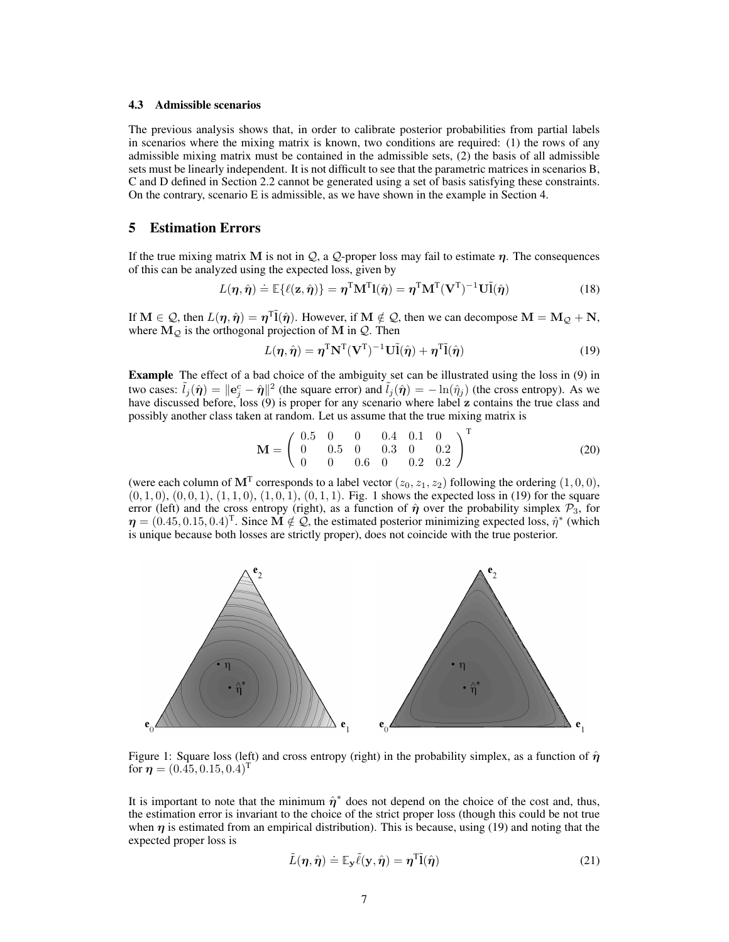### 4.3 Admissible scenarios

The previous analysis shows that, in order to calibrate posterior probabilities from partial labels in scenarios where the mixing matrix is known, two conditions are required: (1) the rows of any admissible mixing matrix must be contained in the admissible sets, (2) the basis of all admissible sets must be linearly independent. It is not difficult to see that the parametric matrices in scenarios B, C and D defined in Section 2.2 cannot be generated using a set of basis satisfying these constraints. On the contrary, scenario E is admissible, as we have shown in the example in Section 4.

# 5 Estimation Errors

If the true mixing matrix M is not in  $Q$ , a  $Q$ -proper loss may fail to estimate  $\eta$ . The consequences of this can be analyzed using the expected loss, given by

$$
L(\boldsymbol{\eta}, \hat{\boldsymbol{\eta}}) \doteq \mathbb{E}\{\ell(\mathbf{z}, \hat{\boldsymbol{\eta}})\} = \boldsymbol{\eta}^{\mathrm{T}} \mathbf{M}^{\mathrm{T}} \mathbf{l}(\hat{\boldsymbol{\eta}}) = \boldsymbol{\eta}^{\mathrm{T}} \mathbf{M}^{\mathrm{T}} (\mathbf{V}^{\mathrm{T}})^{-1} \mathbf{U} \tilde{\mathbf{l}}(\hat{\boldsymbol{\eta}})
$$
(18)

If  $M \in \mathcal{Q}$ , then  $L(\eta, \hat{\eta}) = \eta^T \tilde{l}(\hat{\eta})$ . However, if  $M \notin \mathcal{Q}$ , then we can decompose  $M = M_{\mathcal{Q}} + N$ , where  $M_Q$  is the orthogonal projection of M in  $Q$ . Then

$$
L(\eta, \hat{\eta}) = \eta^{\mathrm{T}} \mathbf{N}^{\mathrm{T}} (\mathbf{V}^{\mathrm{T}})^{-1} \mathbf{U} \tilde{\mathbf{l}}(\hat{\eta}) + \eta^{\mathrm{T}} \tilde{\mathbf{l}}(\hat{\eta})
$$
(19)

Example The effect of a bad choice of the ambiguity set can be illustrated using the loss in (9) in two cases:  $\tilde{l}_j(\hat{\eta}) = ||\mathbf{e}_j^c - \hat{\eta}||^2$  (the square error) and  $\tilde{l}_j(\hat{\eta}) = -\ln(\hat{\eta}_j)$  (the cross entropy). As we have discussed before, loss (9) is proper for any scenario where label z contains the true class and possibly another class taken at random. Let us assume that the true mixing matrix is

$$
\mathbf{M} = \left(\begin{array}{cccccc} 0.5 & 0 & 0 & 0.4 & 0.1 & 0 \\ 0 & 0.5 & 0 & 0.3 & 0 & 0.2 \\ 0 & 0 & 0.6 & 0 & 0.2 & 0.2 \end{array}\right)^{\mathrm{T}} \tag{20}
$$

(were each column of  $M<sup>T</sup>$  corresponds to a label vector  $(z_0, z_1, z_2)$  following the ordering  $(1, 0, 0)$ ,  $(0, 1, 0), (0, 0, 1), (1, 1, 0), (1, 0, 1), (0, 1, 1)$ . Fig. 1 shows the expected loss in (19) for the square error (left) and the cross entropy (right), as a function of  $\hat{\eta}$  over the probability simplex  $\mathcal{P}_3$ , for  $\eta = (0.45, 0.15, 0.4)^T$ . Since  $\overline{M} \notin \mathcal{Q}$ , the estimated posterior minimizing expected loss,  $\hat{\eta}^*$  (which is unique because both losses are strictly proper), does not coincide with the true posterior.



Figure 1: Square loss (left) and cross entropy (right) in the probability simplex, as a function of  $\hat{\eta}$ for  $\eta = (0.45, 0.15, 0.4)^T$ 

It is important to note that the minimum  $\hat{\eta}^*$  does not depend on the choice of the cost and, thus, the estimation error is invariant to the choice of the strict proper loss (though this could be not true when  $\eta$  is estimated from an empirical distribution). This is because, using (19) and noting that the expected proper loss is

$$
\tilde{L}(\eta, \hat{\eta}) \doteq \mathbb{E}_{\mathbf{y}} \tilde{\ell}(\mathbf{y}, \hat{\eta}) = \eta^{\mathrm{T}} \tilde{\mathbf{l}}(\hat{\eta}) \tag{21}
$$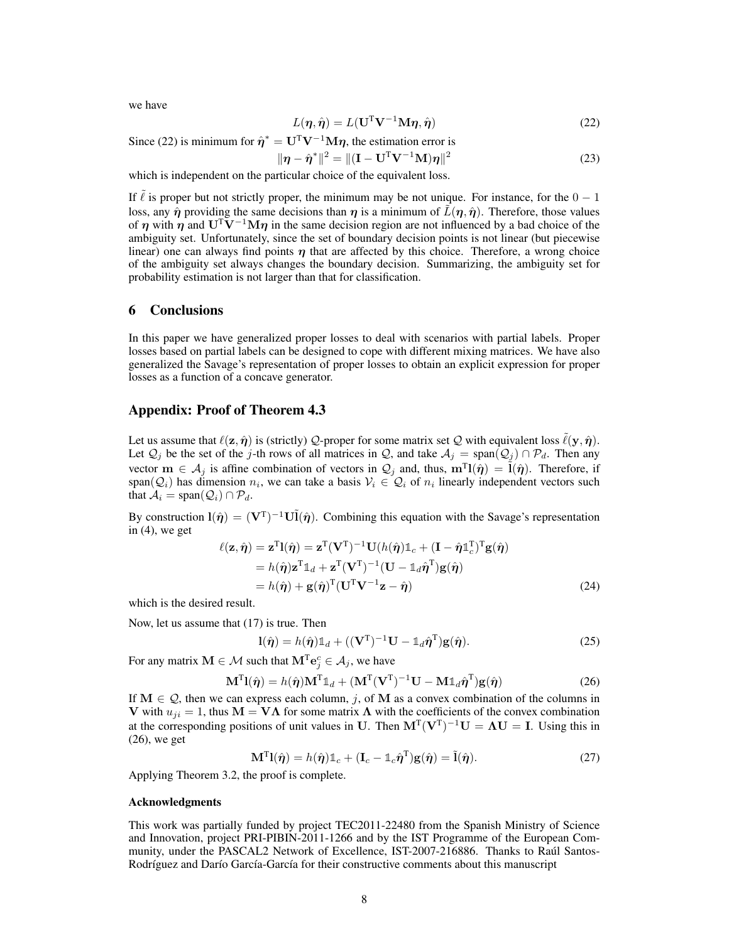we have

$$
L(\eta, \hat{\eta}) = L(\mathbf{U}^{\mathrm{T}} \mathbf{V}^{-1} \mathbf{M} \eta, \hat{\eta}) \tag{22}
$$

Since (22) is minimum for  $\hat{\eta}^* = \mathbf{U}^T \mathbf{V}^{-1} \mathbf{M} \eta$ , the estimation error is

$$
\|\eta - \hat{\eta}^*\|^2 = \|(\mathbf{I} - \mathbf{U}^T \mathbf{V}^{-1} \mathbf{M})\eta\|^2
$$
 (23)

which is independent on the particular choice of the equivalent loss.

If  $\ell$  is proper but not strictly proper, the minimum may be not unique. For instance, for the  $0 - 1$ loss, any  $\hat{\eta}$  providing the same decisions than  $\eta$  is a minimum of  $\tilde{L}(\eta, \hat{\eta})$ . Therefore, those values of  $\eta$  with  $\eta$  and U<sup>T</sup>V<sup>-1</sup>M $\eta$  in the same decision region are not influenced by a bad choice of the ambiguity set. Unfortunately, since the set of boundary decision points is not linear (but piecewise linear) one can always find points  $\eta$  that are affected by this choice. Therefore, a wrong choice of the ambiguity set always changes the boundary decision. Summarizing, the ambiguity set for probability estimation is not larger than that for classification.

# 6 Conclusions

In this paper we have generalized proper losses to deal with scenarios with partial labels. Proper losses based on partial labels can be designed to cope with different mixing matrices. We have also generalized the Savage's representation of proper losses to obtain an explicit expression for proper losses as a function of a concave generator.

## Appendix: Proof of Theorem 4.3

Let us assume that  $\ell(\mathbf{z}, \hat{\boldsymbol{\eta}})$  is (strictly) Q-proper for some matrix set Q with equivalent loss  $\ell(\mathbf{y}, \hat{\boldsymbol{\eta}})$ . Let  $\mathcal{Q}_j$  be the set of the j-th rows of all matrices in  $\mathcal{Q}$ , and take  $\mathcal{A}_j = \text{span}(\mathcal{Q}_j) \cap \mathcal{P}_d$ . Then any vector  $\mathbf{m} \in A_j$  is affine combination of vectors in  $\mathcal{Q}_j$  and, thus,  $\mathbf{m}^T \mathbf{l}(\hat{\eta}) = \tilde{\mathbf{l}}(\hat{\eta})$ . Therefore, if span( $\mathcal{Q}_i$ ) has dimension  $n_i$ , we can take a basis  $\mathcal{V}_i \in \mathcal{Q}_i$  of  $n_i$  linearly independent vectors such that  $A_i = \text{span}(\mathcal{Q}_i) \cap \mathcal{P}_d$ .

By construction  $\mathbf{l}(\hat{\eta}) = (\mathbf{V}^T)^{-1} \mathbf{U} \tilde{\mathbf{l}}(\hat{\eta})$ . Combining this equation with the Savage's representation in  $(4)$ , we get

$$
\ell(\mathbf{z}, \hat{\boldsymbol{\eta}}) = \mathbf{z}^{T} \mathbf{l}(\hat{\boldsymbol{\eta}}) = \mathbf{z}^{T} (\mathbf{V}^{T})^{-1} \mathbf{U}(h(\hat{\boldsymbol{\eta}})) \mathbb{1}_{c} + (\mathbf{I} - \hat{\boldsymbol{\eta}} \mathbb{1}_{c}^{T})^{T} \mathbf{g}(\hat{\boldsymbol{\eta}})
$$
  
\n
$$
= h(\hat{\boldsymbol{\eta}}) \mathbf{z}^{T} \mathbb{1}_{d} + \mathbf{z}^{T} (\mathbf{V}^{T})^{-1} (\mathbf{U} - \mathbb{1}_{d} \hat{\boldsymbol{\eta}}^{T}) \mathbf{g}(\hat{\boldsymbol{\eta}})
$$
  
\n
$$
= h(\hat{\boldsymbol{\eta}}) + \mathbf{g}(\hat{\boldsymbol{\eta}})^{T} (\mathbf{U}^{T} \mathbf{V}^{-1} \mathbf{z} - \hat{\boldsymbol{\eta}})
$$
(24)

which is the desired result.

Now, let us assume that (17) is true. Then

$$
l(\hat{\boldsymbol{\eta}}) = h(\hat{\boldsymbol{\eta}}) \mathbb{1}_d + ((\mathbf{V}^{\mathrm{T}})^{-1} \mathbf{U} - \mathbb{1}_d \hat{\boldsymbol{\eta}}^{\mathrm{T}}) \mathbf{g}(\hat{\boldsymbol{\eta}}).
$$
 (25)

For any matrix  $\mathbf{M} \in \mathcal{M}$  such that  $\mathbf{M}^{\mathrm{T}} \mathbf{e}^c_j \in \mathcal{A}_j$ , we have

$$
\mathbf{M}^{\mathrm{T}}\mathbf{l}(\hat{\boldsymbol{\eta}}) = h(\hat{\boldsymbol{\eta}})\mathbf{M}^{\mathrm{T}}\mathbb{1}_d + (\mathbf{M}^{\mathrm{T}}(\mathbf{V}^{\mathrm{T}})^{-1}\mathbf{U} - \mathbf{M}\mathbb{1}_d\hat{\boldsymbol{\eta}}^{\mathrm{T}})\mathbf{g}(\hat{\boldsymbol{\eta}})
$$
(26)

If  $M \in \mathcal{Q}$ , then we can express each column, j, of M as a convex combination of the columns in V with  $u_{ji} = 1$ , thus  $M = VA$  for some matrix  $\Lambda$  with the coefficients of the convex combination at the corresponding positions of unit values in U. Then  $M<sup>T</sup>(V<sup>T</sup>)<sup>-1</sup>U = \Lambda U = I$ . Using this in (26), we get

$$
\mathbf{M}^{\mathrm{T}} \mathbf{l}(\hat{\boldsymbol{\eta}}) = h(\hat{\boldsymbol{\eta}}) \mathbb{1}_c + (\mathbf{I}_c - \mathbb{1}_c \hat{\boldsymbol{\eta}}^{\mathrm{T}}) \mathbf{g}(\hat{\boldsymbol{\eta}}) = \tilde{\mathbf{l}}(\hat{\boldsymbol{\eta}}).
$$
 (27)

Applying Theorem 3.2, the proof is complete.

#### Acknowledgments

This work was partially funded by project TEC2011-22480 from the Spanish Ministry of Science and Innovation, project PRI-PIBIN-2011-1266 and by the IST Programme of the European Community, under the PASCAL2 Network of Excellence, IST-2007-216886. Thanks to Raúl Santos-Rodríguez and Darío García-García for their constructive comments about this manuscript